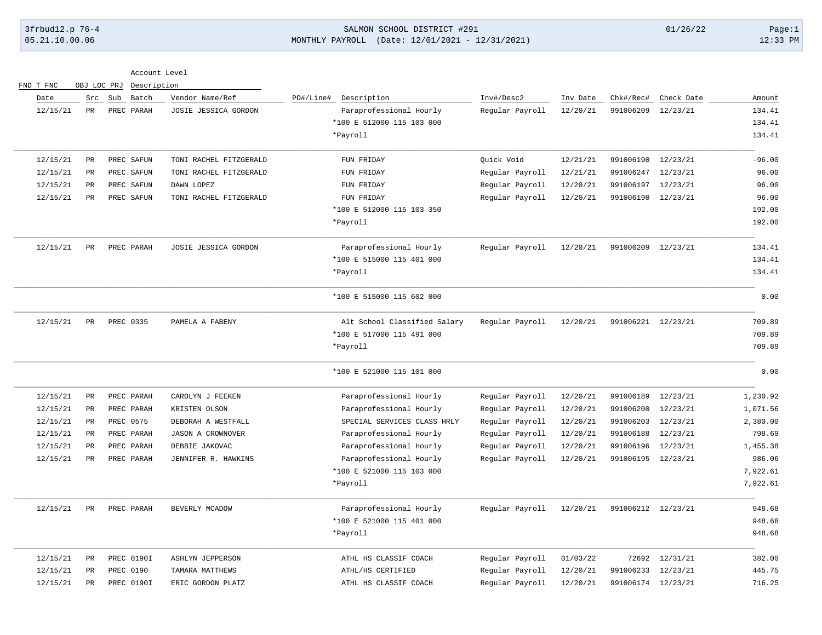FND T FNC OBJ LOC PRJ Description

### 3frbud12.p 76-4 SALMON SCHOOL DISTRICT #291 01/26/22 Page:1 05.21.10.00.06 MONTHLY PAYROLL (Date: 12/01/2021 - 12/31/2021) 12:33 PM

Account Level

| Date     | Src         | Sub<br>Batch | Vendor Name/Ref         | PO#/Line#<br>Description     | Inv#/Desc2      | Inv Date | Chk#/Rec#          | Check Date | Amount   |
|----------|-------------|--------------|-------------------------|------------------------------|-----------------|----------|--------------------|------------|----------|
| 12/15/21 | $_{\rm PR}$ | PREC PARAH   | JOSIE JESSICA GORDON    | Paraprofessional Hourly      | Regular Payroll | 12/20/21 | 991006209          | 12/23/21   | 134.41   |
|          |             |              |                         | *100 E 512000 115 103 000    |                 |          |                    |            | 134.41   |
|          |             |              |                         | *Payroll                     |                 |          |                    |            | 134.41   |
| 12/15/21 | $_{\rm PR}$ | PREC SAFUN   | TONI RACHEL FITZGERALD  | FUN FRIDAY                   | Quick Void      | 12/21/21 | 991006190          | 12/23/21   | $-96.00$ |
| 12/15/21 | PR          | PREC SAFUN   | TONI RACHEL FITZGERALD  | FUN FRIDAY                   | Regular Payroll | 12/21/21 | 991006247          | 12/23/21   | 96.00    |
| 12/15/21 | PR          | PREC SAFUN   | DAWN LOPEZ              | FUN FRIDAY                   | Regular Payroll | 12/20/21 | 991006197          | 12/23/21   | 96.00    |
| 12/15/21 | $_{\rm PR}$ | PREC SAFUN   | TONI RACHEL FITZGERALD  | FUN FRIDAY                   | Regular Payroll | 12/20/21 | 991006190 12/23/21 |            | 96.00    |
|          |             |              |                         | *100 E 512000 115 103 350    |                 |          |                    |            | 192.00   |
|          |             |              |                         | *Payroll                     |                 |          |                    |            | 192.00   |
| 12/15/21 | PR          | PREC PARAH   | JOSIE JESSICA GORDON    | Paraprofessional Hourly      | Regular Payroll | 12/20/21 | 991006209 12/23/21 |            | 134.41   |
|          |             |              |                         | *100 E 515000 115 401 000    |                 |          |                    |            | 134.41   |
|          |             |              |                         | *Payroll                     |                 |          |                    |            | 134.41   |
|          |             |              |                         | *100 E 515000 115 602 000    |                 |          |                    |            | 0.00     |
| 12/15/21 | PR          | PREC 0335    | PAMELA A FABENY         | Alt School Classified Salary | Regular Payroll | 12/20/21 | 991006221 12/23/21 |            | 709.89   |
|          |             |              |                         | *100 E 517000 115 491 000    |                 |          |                    |            | 709.89   |
|          |             |              |                         | *Payroll                     |                 |          |                    |            | 709.89   |
|          |             |              |                         | *100 E 521000 115 101 000    |                 |          |                    |            | 0.00     |
| 12/15/21 | PR          | PREC PARAH   | CAROLYN J FEEKEN        | Paraprofessional Hourly      | Regular Payroll | 12/20/21 | 991006189          | 12/23/21   | 1,230.92 |
| 12/15/21 | PR          | PREC PARAH   | KRISTEN OLSON           | Paraprofessional Hourly      | Regular Payroll | 12/20/21 | 991006200          | 12/23/21   | 1,071.56 |
| 12/15/21 | PR          | PREC 0575    | DEBORAH A WESTFALL      | SPECIAL SERVICES CLASS HRLY  | Regular Payroll | 12/20/21 | 991006203          | 12/23/21   | 2,380.00 |
| 12/15/21 | PR          | PREC PARAH   | JASON A CROWNOVER       | Paraprofessional Hourly      | Regular Payroll | 12/20/21 | 991006188          | 12/23/21   | 798.69   |
| 12/15/21 | PR          | PREC PARAH   | DEBBIE JAKOVAC          | Paraprofessional Hourly      | Regular Payroll | 12/20/21 | 991006196          | 12/23/21   | 1,455.38 |
| 12/15/21 | PR          | PREC PARAH   | JENNIFER R. HAWKINS     | Paraprofessional Hourly      | Regular Payroll | 12/20/21 | 991006195 12/23/21 |            | 986.06   |
|          |             |              |                         | *100 E 521000 115 103 000    |                 |          |                    |            | 7,922.61 |
|          |             |              |                         | *Payroll                     |                 |          |                    |            | 7,922.61 |
| 12/15/21 | PR          | PREC PARAH   | BEVERLY MCADOW          | Paraprofessional Hourly      | Regular Payroll | 12/20/21 | 991006212 12/23/21 |            | 948.68   |
|          |             |              |                         | *100 E 521000 115 401 000    |                 |          |                    |            | 948.68   |
|          |             |              |                         | *Payroll                     |                 |          |                    |            | 948.68   |
| 12/15/21 | $_{\rm PR}$ | PREC 0190I   | <b>ASHLYN JEPPERSON</b> | ATHL HS CLASSIF COACH        | Regular Payroll | 01/03/22 | 72692              | 12/31/21   | 382.00   |
| 12/15/21 | PR          | PREC 0190    | TAMARA MATTHEWS         | ATHL/HS CERTIFIED            | Regular Payroll | 12/20/21 | 991006233          | 12/23/21   | 445.75   |
| 12/15/21 | PR          | PREC 0190I   | ERIC GORDON PLATZ       | ATHL HS CLASSIF COACH        | Regular Payroll | 12/20/21 | 991006174 12/23/21 |            | 716.25   |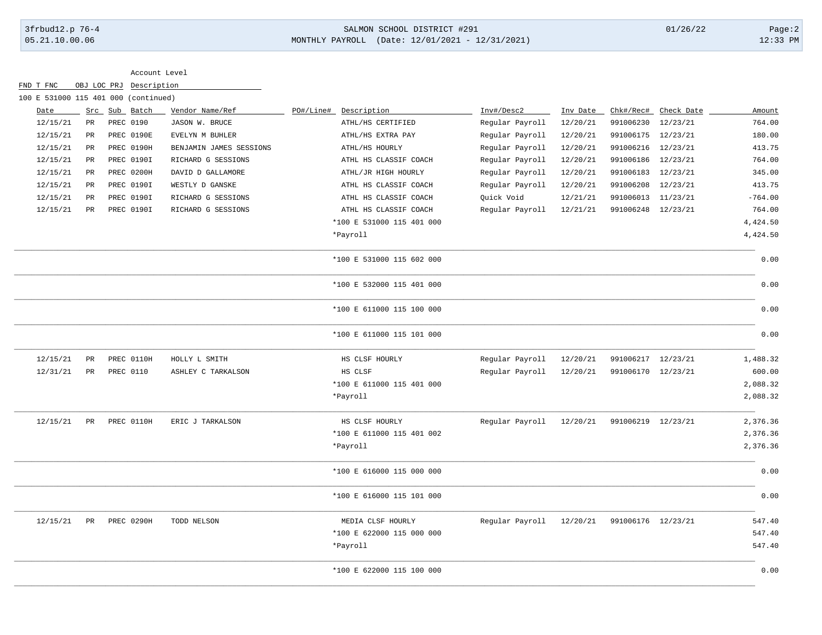FND T FNC OBJ LOC PRJ Description

### 3frbud12.p 76-4 SALMON SCHOOL DISTRICT #291 01/26/22 Page:2 05.21.10.00.06 MONTHLY PAYROLL (Date: 12/01/2021 - 12/31/2021) 12:33 PM

Account Level

| 100 E 531000 115 401 000 (continued) |             |               |                         |           |                           |                 |          |                    |            |           |
|--------------------------------------|-------------|---------------|-------------------------|-----------|---------------------------|-----------------|----------|--------------------|------------|-----------|
| Date                                 |             | Src Sub Batch | Vendor Name/Ref         | PO#/Line# | Description               | Inv#/Desc2      | Inv Date | Chk#/Rec#          | Check Date | Amount    |
| 12/15/21                             | PR          | PREC 0190     | JASON W. BRUCE          |           | ATHL/HS CERTIFIED         | Regular Payroll | 12/20/21 | 991006230          | 12/23/21   | 764.00    |
| 12/15/21                             | PR          | PREC 0190E    | EVELYN M BUHLER         |           | ATHL/HS EXTRA PAY         | Regular Payroll | 12/20/21 | 991006175          | 12/23/21   | 180.00    |
| 12/15/21                             | PR          | PREC 0190H    | BENJAMIN JAMES SESSIONS |           | ATHL/HS HOURLY            | Regular Payroll | 12/20/21 | 991006216          | 12/23/21   | 413.75    |
| 12/15/21                             | PR          | PREC 0190I    | RICHARD G SESSIONS      |           | ATHL HS CLASSIF COACH     | Regular Payroll | 12/20/21 | 991006186          | 12/23/21   | 764.00    |
| 12/15/21                             | PR          | PREC 0200H    | DAVID D GALLAMORE       |           | ATHL/JR HIGH HOURLY       | Regular Payroll | 12/20/21 | 991006183          | 12/23/21   | 345.00    |
| 12/15/21                             | PR          | PREC 0190I    | WESTLY D GANSKE         |           | ATHL HS CLASSIF COACH     | Regular Payroll | 12/20/21 | 991006208          | 12/23/21   | 413.75    |
| 12/15/21                             | PR          | PREC 01901    | RICHARD G SESSIONS      |           | ATHL HS CLASSIF COACH     | Quick Void      | 12/21/21 | 991006013          | 11/23/21   | $-764.00$ |
| 12/15/21                             | PR          | PREC 0190I    | RICHARD G SESSIONS      |           | ATHL HS CLASSIF COACH     | Regular Payroll | 12/21/21 | 991006248 12/23/21 |            | 764.00    |
|                                      |             |               |                         |           | *100 E 531000 115 401 000 |                 |          |                    |            | 4,424.50  |
|                                      |             |               |                         |           | *Payroll                  |                 |          |                    |            | 4,424.50  |
|                                      |             |               |                         |           | *100 E 531000 115 602 000 |                 |          |                    |            | 0.00      |
|                                      |             |               |                         |           | *100 E 532000 115 401 000 |                 |          |                    |            | 0.00      |
|                                      |             |               |                         |           | *100 E 611000 115 100 000 |                 |          |                    |            | 0.00      |
|                                      |             |               |                         |           | *100 E 611000 115 101 000 |                 |          |                    |            | 0.00      |
| 12/15/21                             | $_{\rm PR}$ | PREC 0110H    | HOLLY L SMITH           |           | HS CLSF HOURLY            | Regular Payroll | 12/20/21 | 991006217          | 12/23/21   | 1,488.32  |
| 12/31/21                             | PR          | PREC 0110     | ASHLEY C TARKALSON      |           | HS CLSF                   | Regular Payroll | 12/20/21 | 991006170 12/23/21 |            | 600.00    |
|                                      |             |               |                         |           | *100 E 611000 115 401 000 |                 |          |                    |            | 2,088.32  |
|                                      |             |               |                         |           | *Payroll                  |                 |          |                    |            | 2,088.32  |
| 12/15/21                             | PR          | PREC 0110H    | ERIC J TARKALSON        |           | HS CLSF HOURLY            | Regular Payroll | 12/20/21 | 991006219 12/23/21 |            | 2,376.36  |
|                                      |             |               |                         |           | *100 E 611000 115 401 002 |                 |          |                    |            | 2,376.36  |
|                                      |             |               |                         |           | *Payroll                  |                 |          |                    |            | 2,376.36  |
|                                      |             |               |                         |           | *100 E 616000 115 000 000 |                 |          |                    |            | 0.00      |
|                                      |             |               |                         |           | *100 E 616000 115 101 000 |                 |          |                    |            | 0.00      |
| 12/15/21                             | PR          | PREC 0290H    | TODD NELSON             |           | MEDIA CLSF HOURLY         | Regular Payroll | 12/20/21 | 991006176 12/23/21 |            | 547.40    |
|                                      |             |               |                         |           | *100 E 622000 115 000 000 |                 |          |                    |            | 547.40    |
|                                      |             |               |                         |           | *Payroll                  |                 |          |                    |            | 547.40    |
|                                      |             |               |                         |           | *100 E 622000 115 100 000 |                 |          |                    |            | 0.00      |
|                                      |             |               |                         |           |                           |                 |          |                    |            |           |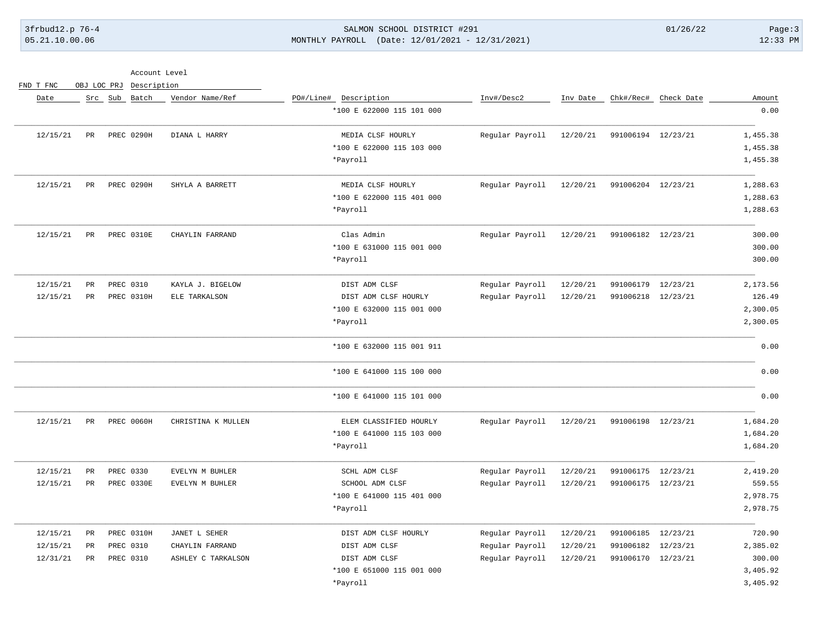### 3frbud12.p 76-4 SALMON SCHOOL DISTRICT #291 01/26/22 Page:3 05.21.10.00.06 MONTHLY PAYROLL (Date: 12/01/2021 - 12/31/2021) 12:33 PM

Account Level

FND T FNC OBJ LOC PRJ Description

| Amount   | Chk#/Rec# Check Date |                    | Inv Date | Inv#/Desc2      | PO#/Line# Description     | Vendor Name/Ref    | Src Sub Batch |                      | Date     |
|----------|----------------------|--------------------|----------|-----------------|---------------------------|--------------------|---------------|----------------------|----------|
| 0.00     |                      |                    |          |                 | *100 E 622000 115 101 000 |                    |               |                      |          |
| 1,455.38 |                      | 991006194 12/23/21 | 12/20/21 | Regular Payroll | MEDIA CLSF HOURLY         | DIANA L HARRY      | PREC 0290H    | PR                   | 12/15/21 |
| 1,455.38 |                      |                    |          |                 | *100 E 622000 115 103 000 |                    |               |                      |          |
| 1,455.38 |                      |                    |          |                 | *Payroll                  |                    |               |                      |          |
| 1,288.63 |                      | 991006204 12/23/21 | 12/20/21 | Regular Payroll | MEDIA CLSF HOURLY         | SHYLA A BARRETT    | PREC 0290H    | PR                   | 12/15/21 |
| 1,288.63 |                      |                    |          |                 | *100 E 622000 115 401 000 |                    |               |                      |          |
| 1,288.63 |                      |                    |          |                 | *Payroll                  |                    |               |                      |          |
| 300.00   |                      | 991006182 12/23/21 | 12/20/21 | Regular Payroll | Clas Admin                | CHAYLIN FARRAND    | PREC 0310E    | $_{\rm PR}$          | 12/15/21 |
| 300.00   |                      |                    |          |                 | *100 E 631000 115 001 000 |                    |               |                      |          |
| 300.00   |                      |                    |          |                 | *Payroll                  |                    |               |                      |          |
| 2,173.56 | 12/23/21             | 991006179          | 12/20/21 | Regular Payroll | DIST ADM CLSF             | KAYLA J. BIGELOW   | PREC 0310     | $_{\rm PR}$          | 12/15/21 |
| 126.49   | 12/23/21             | 991006218          | 12/20/21 | Regular Payroll | DIST ADM CLSF HOURLY      | ELE TARKALSON      | PREC 0310H    | $_{\rm PR}$          | 12/15/21 |
| 2,300.05 |                      |                    |          |                 | *100 E 632000 115 001 000 |                    |               |                      |          |
| 2,300.05 |                      |                    |          |                 | *Payroll                  |                    |               |                      |          |
| 0.00     |                      |                    |          |                 | *100 E 632000 115 001 911 |                    |               |                      |          |
| 0.00     |                      |                    |          |                 | *100 E 641000 115 100 000 |                    |               |                      |          |
| 0.00     |                      |                    |          |                 | *100 E 641000 115 101 000 |                    |               |                      |          |
| 1,684.20 |                      | 991006198 12/23/21 | 12/20/21 | Regular Payroll | ELEM CLASSIFIED HOURLY    | CHRISTINA K MULLEN | PREC 0060H    | $\mbox{\texttt{PR}}$ | 12/15/21 |
| 1,684.20 |                      |                    |          |                 | *100 E 641000 115 103 000 |                    |               |                      |          |
| 1,684.20 |                      |                    |          |                 | *Payroll                  |                    |               |                      |          |
| 2,419.20 |                      | 991006175 12/23/21 | 12/20/21 | Regular Payroll | SCHL ADM CLSF             | EVELYN M BUHLER    | PREC 0330     | $_{\rm PR}$          | 12/15/21 |
| 559.55   |                      | 991006175 12/23/21 | 12/20/21 | Regular Payroll | SCHOOL ADM CLSF           | EVELYN M BUHLER    | PREC 0330E    | PR                   | 12/15/21 |
| 2,978.75 |                      |                    |          |                 | *100 E 641000 115 401 000 |                    |               |                      |          |
| 2,978.75 |                      |                    |          |                 | *Payroll                  |                    |               |                      |          |
| 720.90   | 12/23/21             | 991006185          | 12/20/21 | Regular Payroll | DIST ADM CLSF HOURLY      | JANET L SEHER      | PREC 0310H    | $_{\rm PR}$          | 12/15/21 |
| 2,385.02 | 12/23/21             | 991006182          | 12/20/21 | Regular Payroll | DIST ADM CLSF             | CHAYLIN FARRAND    | PREC 0310     | $\rm PR$             | 12/15/21 |
| 300.00   |                      | 991006170 12/23/21 | 12/20/21 | Regular Payroll | DIST ADM CLSF             | ASHLEY C TARKALSON | PREC 0310     | PR                   | 12/31/21 |
| 3,405.92 |                      |                    |          |                 | *100 E 651000 115 001 000 |                    |               |                      |          |
| 3,405.92 |                      |                    |          |                 | *Payroll                  |                    |               |                      |          |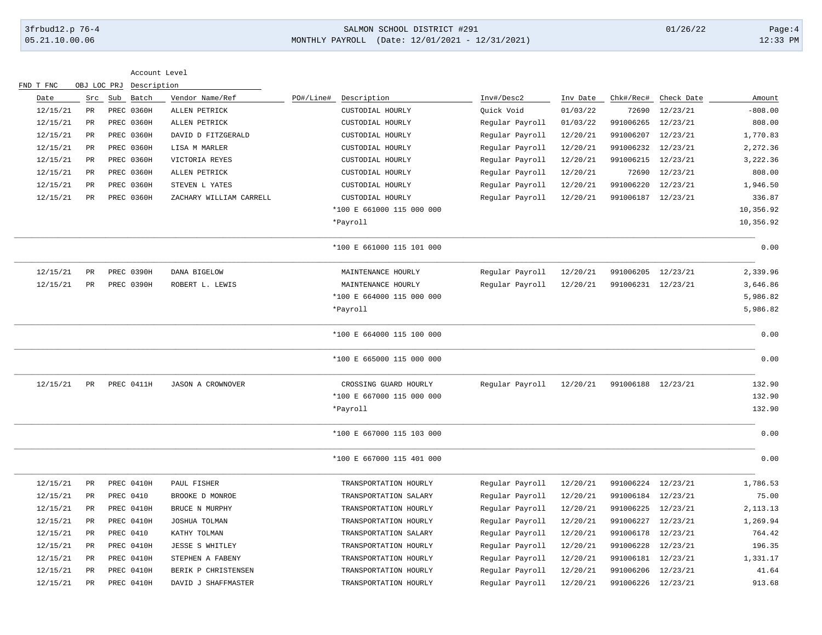# 3frbud12.p 76-4 SALMON SCHOOL DISTRICT #291 01/26/22 Page:4 05.21.10.00.06 MONTHLY PAYROLL (Date: 12/01/2021 - 12/31/2021) 12:33 PM

| Account Level |  |
|---------------|--|
|---------------|--|

| FND T FNC | OBJ LOC PRJ     |     | Description |                         |           |                           |                 |          |                    |            |           |
|-----------|-----------------|-----|-------------|-------------------------|-----------|---------------------------|-----------------|----------|--------------------|------------|-----------|
| Date      | Src             | Sub | Batch       | Vendor Name/Ref         | PO#/Line# | Description               | Inv#/Desc2      | Inv Date | Chk#/Rec#          | Check Date | Amount    |
| 12/15/21  | PR              |     | PREC 0360H  | ALLEN PETRICK           |           | CUSTODIAL HOURLY          | Quick Void      | 01/03/22 | 72690              | 12/23/21   | $-808.00$ |
| 12/15/21  | $_{\rm PR}$     |     | PREC 0360H  | ALLEN PETRICK           |           | CUSTODIAL HOURLY          | Regular Payroll | 01/03/22 | 991006265          | 12/23/21   | 808.00    |
| 12/15/21  | $\mbox{\sf PR}$ |     | PREC 0360H  | DAVID D FITZGERALD      |           | CUSTODIAL HOURLY          | Regular Payroll | 12/20/21 | 991006207          | 12/23/21   | 1,770.83  |
| 12/15/21  | PR              |     | PREC 0360H  | LISA M MARLER           |           | CUSTODIAL HOURLY          | Regular Payroll | 12/20/21 | 991006232          | 12/23/21   | 2,272.36  |
| 12/15/21  | PR              |     | PREC 0360H  | VICTORIA REYES          |           | CUSTODIAL HOURLY          | Regular Payroll | 12/20/21 | 991006215          | 12/23/21   | 3,222.36  |
| 12/15/21  | $\mbox{\sf PR}$ |     | PREC 0360H  | ALLEN PETRICK           |           | CUSTODIAL HOURLY          | Regular Payroll | 12/20/21 | 72690              | 12/23/21   | 808.00    |
| 12/15/21  | <b>PR</b>       |     | PREC 0360H  | STEVEN L YATES          |           | CUSTODIAL HOURLY          | Regular Payroll | 12/20/21 | 991006220          | 12/23/21   | 1,946.50  |
| 12/15/21  | PR              |     | PREC 0360H  | ZACHARY WILLIAM CARRELL |           | CUSTODIAL HOURLY          | Regular Payroll | 12/20/21 | 991006187 12/23/21 |            | 336.87    |
|           |                 |     |             |                         |           | *100 E 661000 115 000 000 |                 |          |                    |            | 10,356.92 |
|           |                 |     |             |                         |           | *Payroll                  |                 |          |                    |            | 10,356.92 |
|           |                 |     |             |                         |           | *100 E 661000 115 101 000 |                 |          |                    |            | 0.00      |
| 12/15/21  | $_{\rm PR}$     |     | PREC 0390H  | DANA BIGELOW            |           | MAINTENANCE HOURLY        | Regular Payroll | 12/20/21 | 991006205          | 12/23/21   | 2,339.96  |
| 12/15/21  | PR              |     | PREC 0390H  | ROBERT L. LEWIS         |           | MAINTENANCE HOURLY        | Regular Payroll | 12/20/21 | 991006231 12/23/21 |            | 3,646.86  |
|           |                 |     |             |                         |           | *100 E 664000 115 000 000 |                 |          |                    |            | 5,986.82  |
|           |                 |     |             |                         |           | *Payroll                  |                 |          |                    |            | 5,986.82  |
|           |                 |     |             |                         |           | *100 E 664000 115 100 000 |                 |          |                    |            | 0.00      |
|           |                 |     |             |                         |           | *100 E 665000 115 000 000 |                 |          |                    |            | 0.00      |
| 12/15/21  | PR              |     | PREC 0411H  | JASON A CROWNOVER       |           | CROSSING GUARD HOURLY     | Regular Payroll | 12/20/21 | 991006188 12/23/21 |            | 132.90    |
|           |                 |     |             |                         |           | *100 E 667000 115 000 000 |                 |          |                    |            | 132.90    |
|           |                 |     |             |                         |           | *Payroll                  |                 |          |                    |            | 132.90    |
|           |                 |     |             |                         |           | *100 E 667000 115 103 000 |                 |          |                    |            | 0.00      |
|           |                 |     |             |                         |           | *100 E 667000 115 401 000 |                 |          |                    |            | 0.00      |
| 12/15/21  | PR              |     | PREC 0410H  | PAUL FISHER             |           | TRANSPORTATION HOURLY     | Regular Payroll | 12/20/21 | 991006224          | 12/23/21   | 1,786.53  |
| 12/15/21  | PR              |     | PREC 0410   | BROOKE D MONROE         |           | TRANSPORTATION SALARY     | Regular Payroll | 12/20/21 | 991006184          | 12/23/21   | 75.00     |
| 12/15/21  | PR              |     | PREC 0410H  | BRUCE N MURPHY          |           | TRANSPORTATION HOURLY     | Regular Payroll | 12/20/21 | 991006225          | 12/23/21   | 2, 113.13 |
| 12/15/21  | PR              |     | PREC 0410H  | JOSHUA TOLMAN           |           | TRANSPORTATION HOURLY     | Regular Payroll | 12/20/21 | 991006227          | 12/23/21   | 1,269.94  |
| 12/15/21  | PR              |     | PREC 0410   | KATHY TOLMAN            |           | TRANSPORTATION SALARY     | Regular Payroll | 12/20/21 | 991006178          | 12/23/21   | 764.42    |
| 12/15/21  | PR              |     | PREC 0410H  | JESSE S WHITLEY         |           | TRANSPORTATION HOURLY     | Regular Payroll | 12/20/21 | 991006228          | 12/23/21   | 196.35    |
| 12/15/21  | PR              |     | PREC 0410H  | STEPHEN A FABENY        |           | TRANSPORTATION HOURLY     | Regular Payroll | 12/20/21 | 991006181          | 12/23/21   | 1,331.17  |
| 12/15/21  | $_{\rm PR}$     |     | PREC 0410H  | BERIK P CHRISTENSEN     |           | TRANSPORTATION HOURLY     | Regular Payroll | 12/20/21 | 991006206          | 12/23/21   | 41.64     |
| 12/15/21  | $_{\rm PR}$     |     | PREC 0410H  | DAVID J SHAFFMASTER     |           | TRANSPORTATION HOURLY     | Regular Payroll | 12/20/21 | 991006226          | 12/23/21   | 913.68    |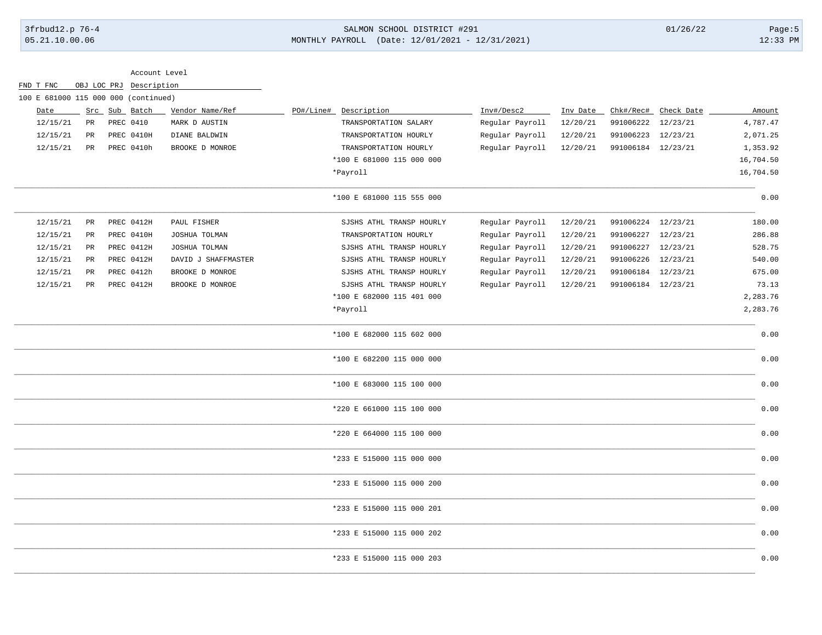# 3frbud12.p 76-4 SALMON SCHOOL DISTRICT #291 01/26/22 Page:5 05.21.10.00.06 MONTHLY PAYROLL (Date: 12/01/2021 - 12/31/2021) 12:33 PM

|                                      |                 | Account Level           |                     |                           |                 |          |                    |                      |           |
|--------------------------------------|-----------------|-------------------------|---------------------|---------------------------|-----------------|----------|--------------------|----------------------|-----------|
| FND T FNC                            |                 | OBJ LOC PRJ Description |                     |                           |                 |          |                    |                      |           |
| 100 E 681000 115 000 000 (continued) |                 |                         |                     |                           |                 |          |                    |                      |           |
| Date                                 |                 | Src Sub Batch           | Vendor Name/Ref     | PO#/Line# Description     | Inv#/Desc2      | Inv Date |                    | Chk#/Rec# Check Date | Amount    |
| 12/15/21                             | PR              | PREC 0410               | MARK D AUSTIN       | TRANSPORTATION SALARY     | Regular Payroll | 12/20/21 | 991006222          | 12/23/21             | 4,787.47  |
| 12/15/21                             | PR              | PREC 0410H              | DIANE BALDWIN       | TRANSPORTATION HOURLY     | Regular Payroll | 12/20/21 | 991006223          | 12/23/21             | 2,071.25  |
| 12/15/21                             | PR              | PREC 0410h              | BROOKE D MONROE     | TRANSPORTATION HOURLY     | Regular Payroll | 12/20/21 | 991006184 12/23/21 |                      | 1,353.92  |
|                                      |                 |                         |                     | *100 E 681000 115 000 000 |                 |          |                    |                      | 16,704.50 |
|                                      |                 |                         |                     | *Payroll                  |                 |          |                    |                      | 16,704.50 |
|                                      |                 |                         |                     | *100 E 681000 115 555 000 |                 |          |                    |                      | 0.00      |
| 12/15/21                             | $\mbox{\sf PR}$ | PREC 0412H              | PAUL FISHER         | SJSHS ATHL TRANSP HOURLY  | Regular Payroll | 12/20/21 | 991006224 12/23/21 |                      | 180.00    |
| 12/15/21                             | PR              | PREC 0410H              | JOSHUA TOLMAN       | TRANSPORTATION HOURLY     | Regular Payroll | 12/20/21 | 991006227 12/23/21 |                      | 286.88    |
| 12/15/21                             | $_{\rm PR}$     | PREC 0412H              | JOSHUA TOLMAN       | SJSHS ATHL TRANSP HOURLY  | Regular Payroll | 12/20/21 | 991006227 12/23/21 |                      | 528.75    |
| 12/15/21                             | PR              | PREC 0412H              | DAVID J SHAFFMASTER | SJSHS ATHL TRANSP HOURLY  | Regular Payroll | 12/20/21 | 991006226 12/23/21 |                      | 540.00    |
| 12/15/21                             | <b>PR</b>       | PREC 0412h              | BROOKE D MONROE     | SJSHS ATHL TRANSP HOURLY  | Regular Payroll | 12/20/21 | 991006184 12/23/21 |                      | 675.00    |
| 12/15/21                             | PR              | PREC 0412H              | BROOKE D MONROE     | SJSHS ATHL TRANSP HOURLY  | Regular Payroll | 12/20/21 | 991006184 12/23/21 |                      | 73.13     |
|                                      |                 |                         |                     | *100 E 682000 115 401 000 |                 |          |                    |                      | 2,283.76  |
|                                      |                 |                         |                     | *Payroll                  |                 |          |                    |                      | 2,283.76  |
|                                      |                 |                         |                     | *100 E 682000 115 602 000 |                 |          |                    |                      | 0.00      |
|                                      |                 |                         |                     | *100 E 682200 115 000 000 |                 |          |                    |                      | 0.00      |
|                                      |                 |                         |                     | *100 E 683000 115 100 000 |                 |          |                    |                      | 0.00      |
|                                      |                 |                         |                     | *220 E 661000 115 100 000 |                 |          |                    |                      | 0.00      |
|                                      |                 |                         |                     | *220 E 664000 115 100 000 |                 |          |                    |                      | 0.00      |
|                                      |                 |                         |                     | *233 E 515000 115 000 000 |                 |          |                    |                      | 0.00      |
|                                      |                 |                         |                     | *233 E 515000 115 000 200 |                 |          |                    |                      | 0.00      |
|                                      |                 |                         |                     | *233 E 515000 115 000 201 |                 |          |                    |                      | 0.00      |
|                                      |                 |                         |                     | *233 E 515000 115 000 202 |                 |          |                    |                      | 0.00      |
|                                      |                 |                         |                     | *233 E 515000 115 000 203 |                 |          |                    |                      | 0.00      |
|                                      |                 |                         |                     |                           |                 |          |                    |                      |           |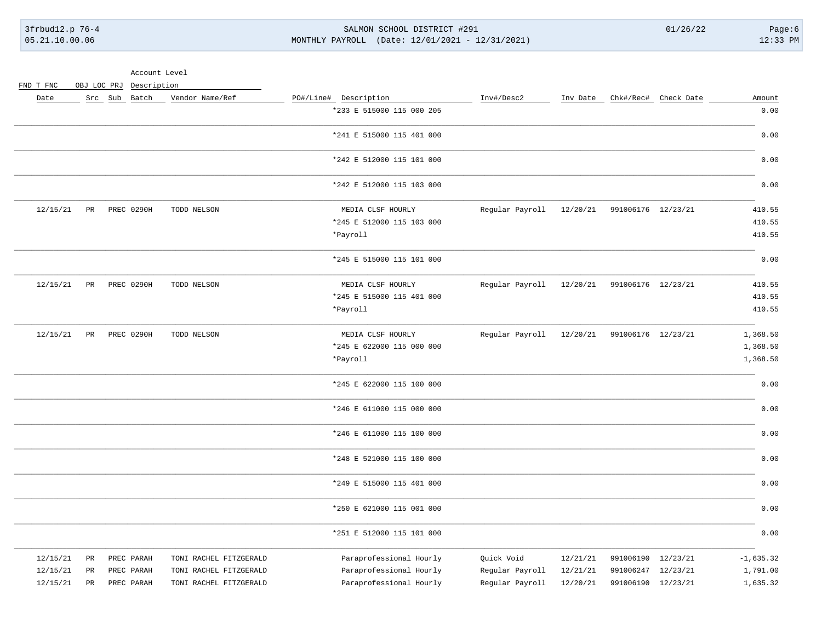3frbud12.p 76-4 05.21.10.00.06

SALMON SCHOOL DISTRICT #291 MONTHLY PAYROLL (Date: 12/01/2021 - 12/31/2021)  $01/26/22$ 

 $Page:6$  $12:33$  PM

Account Level

FND T FNC OBJ LOC PRJ Description

| Amount      | Inv Date _ Chk#/Rec# _ Check Date |          | Inv#/Desc2                         | PO#/Line# Description     | Vendor Name/Ref        | Src Sub Batch |                          | Date     |
|-------------|-----------------------------------|----------|------------------------------------|---------------------------|------------------------|---------------|--------------------------|----------|
| 0.00        |                                   |          |                                    | *233 E 515000 115 000 205 |                        |               |                          |          |
| 0.00        |                                   |          |                                    | *241 E 515000 115 401 000 |                        |               |                          |          |
| 0.00        |                                   |          |                                    | *242 E 512000 115 101 000 |                        |               |                          |          |
| 0.00        |                                   |          |                                    | *242 E 512000 115 103 000 |                        |               |                          |          |
| 410.55      | 991006176 12/23/21                | 12/20/21 | Regular Payroll                    | MEDIA CLSF HOURLY         | TODD NELSON            | PREC 0290H    | PR                       | 12/15/21 |
| 410.55      |                                   |          |                                    | *245 E 512000 115 103 000 |                        |               |                          |          |
| 410.55      |                                   |          |                                    | *Payroll                  |                        |               |                          |          |
| 0.00        |                                   |          |                                    | *245 E 515000 115 101 000 |                        |               |                          |          |
| 410.55      | 991006176 12/23/21                | 12/20/21 | Regular Payroll                    | MEDIA CLSF HOURLY         | TODD NELSON            | PREC 0290H    | $_{\rm PR}$              | 12/15/21 |
| 410.55      |                                   |          |                                    | *245 E 515000 115 401 000 |                        |               |                          |          |
| 410.55      |                                   |          |                                    | *Payroll                  |                        |               |                          |          |
| 1,368.50    | 991006176 12/23/21                | 12/20/21 | Regular Payroll                    | MEDIA CLSF HOURLY         | TODD NELSON            | PREC 0290H    | PR                       | 12/15/21 |
| 1,368.50    |                                   |          |                                    | *245 E 622000 115 000 000 |                        |               |                          |          |
| 1,368.50    |                                   |          |                                    | *Payroll                  |                        |               |                          |          |
| 0.00        |                                   |          |                                    | *245 E 622000 115 100 000 |                        |               |                          |          |
| 0.00        |                                   |          |                                    | *246 E 611000 115 000 000 |                        |               |                          |          |
| 0.00        |                                   |          |                                    | *246 E 611000 115 100 000 |                        |               |                          |          |
| 0.00        |                                   |          |                                    | *248 E 521000 115 100 000 |                        |               |                          |          |
| 0.00        |                                   |          |                                    | *249 E 515000 115 401 000 |                        |               |                          |          |
| 0.00        |                                   |          |                                    | *250 E 621000 115 001 000 |                        |               |                          |          |
| 0.00        |                                   |          |                                    | *251 E 512000 115 101 000 |                        |               |                          |          |
| $-1,635.32$ | 991006190 12/23/21                | 12/21/21 | Quick Void                         | Paraprofessional Hourly   | TONI RACHEL FITZGERALD | PREC PARAH    | PR                       | 12/15/21 |
| 1,791.00    | 991006247 12/23/21                | 12/21/21 |                                    | Paraprofessional Hourly   | TONI RACHEL FITZGERALD |               | PR                       | 12/15/21 |
|             |                                   |          |                                    |                           |                        |               |                          | 12/15/21 |
| 1,635.32    | 991006190 12/23/21                | 12/20/21 | Regular Payroll<br>Regular Payroll | Paraprofessional Hourly   | TONI RACHEL FITZGERALD |               | PREC PARAH<br>PREC PARAH | PR       |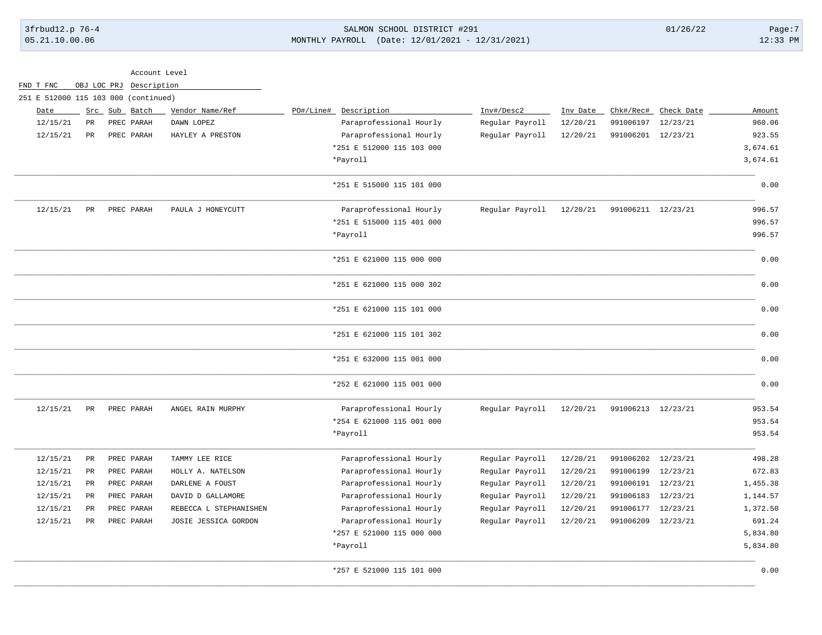# 3frbud12.p 76-4 SALMON SCHOOL DISTRICT #291 01/26/22 Page:7 05.21.10.00.06 MONTHLY PAYROLL (Date: 12/01/2021 - 12/31/2021) 12:33 PM

|           |                 | Account Level                                         |                        |                           |                 |          |                    |                      |          |
|-----------|-----------------|-------------------------------------------------------|------------------------|---------------------------|-----------------|----------|--------------------|----------------------|----------|
| FND T FNC |                 | OBJ LOC PRJ Description                               |                        |                           |                 |          |                    |                      |          |
| Date      |                 | 251 E 512000 115 103 000 (continued)<br>Src Sub Batch | Vendor Name/Ref        | PO#/Line# Description     | Inv#/Desc2      | Inv Date |                    | Chk#/Rec# Check Date | Amount   |
| 12/15/21  | PR              | PREC PARAH                                            | DAWN LOPEZ             | Paraprofessional Hourly   | Regular Payroll | 12/20/21 | 991006197          | 12/23/21             | 960.06   |
| 12/15/21  | PR              | PREC PARAH                                            | HAYLEY A PRESTON       | Paraprofessional Hourly   | Regular Payroll | 12/20/21 | 991006201          | 12/23/21             | 923.55   |
|           |                 |                                                       |                        | *251 E 512000 115 103 000 |                 |          |                    |                      | 3,674.61 |
|           |                 |                                                       |                        | *Payroll                  |                 |          |                    |                      | 3,674.61 |
|           |                 |                                                       |                        |                           |                 |          |                    |                      |          |
|           |                 |                                                       |                        | *251 E 515000 115 101 000 |                 |          |                    |                      | 0.00     |
| 12/15/21  | PR              | PREC PARAH                                            | PAULA J HONEYCUTT      | Paraprofessional Hourly   | Regular Payroll | 12/20/21 | 991006211 12/23/21 |                      | 996.57   |
|           |                 |                                                       |                        | *251 E 515000 115 401 000 |                 |          |                    |                      | 996.57   |
|           |                 |                                                       |                        | *Payroll                  |                 |          |                    |                      | 996.57   |
|           |                 |                                                       |                        | *251 E 621000 115 000 000 |                 |          |                    |                      | 0.00     |
|           |                 |                                                       |                        | *251 E 621000 115 000 302 |                 |          |                    |                      | 0.00     |
|           |                 |                                                       |                        | *251 E 621000 115 101 000 |                 |          |                    |                      | 0.00     |
|           |                 |                                                       |                        | *251 E 621000 115 101 302 |                 |          |                    |                      | 0.00     |
|           |                 |                                                       |                        | *251 E 632000 115 001 000 |                 |          |                    |                      | 0.00     |
|           |                 |                                                       |                        | *252 E 621000 115 001 000 |                 |          |                    |                      | 0.00     |
| 12/15/21  | $\mbox{\sf PR}$ | PREC PARAH                                            | ANGEL RAIN MURPHY      | Paraprofessional Hourly   | Regular Payroll | 12/20/21 | 991006213 12/23/21 |                      | 953.54   |
|           |                 |                                                       |                        | *254 E 621000 115 001 000 |                 |          |                    |                      | 953.54   |
|           |                 |                                                       |                        | *Payroll                  |                 |          |                    |                      | 953.54   |
| 12/15/21  | $_{\rm PR}$     | PREC PARAH                                            | TAMMY LEE RICE         | Paraprofessional Hourly   | Regular Payroll | 12/20/21 | 991006202          | 12/23/21             | 498.28   |
| 12/15/21  | $_{\rm PR}$     | PREC PARAH                                            | HOLLY A. NATELSON      | Paraprofessional Hourly   | Regular Payroll | 12/20/21 | 991006199          | 12/23/21             | 672.83   |
| 12/15/21  | PR              | PREC PARAH                                            | DARLENE A FOUST        | Paraprofessional Hourly   | Regular Payroll | 12/20/21 | 991006191 12/23/21 |                      | 1,455.38 |
| 12/15/21  | $_{\rm PR}$     | PREC PARAH                                            | DAVID D GALLAMORE      | Paraprofessional Hourly   | Regular Payroll | 12/20/21 | 991006183 12/23/21 |                      | 1,144.57 |
| 12/15/21  | PR              | PREC PARAH                                            | REBECCA L STEPHANISHEN | Paraprofessional Hourly   | Regular Payroll | 12/20/21 | 991006177          | 12/23/21             | 1,372.50 |
| 12/15/21  | PR              | PREC PARAH                                            | JOSIE JESSICA GORDON   | Paraprofessional Hourly   | Regular Payroll | 12/20/21 | 991006209 12/23/21 |                      | 691.24   |
|           |                 |                                                       |                        | *257 E 521000 115 000 000 |                 |          |                    |                      | 5,834.80 |
|           |                 |                                                       |                        | *Payroll                  |                 |          |                    |                      | 5,834.80 |
|           |                 |                                                       |                        | *257 E 521000 115 101 000 |                 |          |                    |                      | 0.00     |

\_\_\_\_\_\_\_\_\_\_\_\_\_\_\_\_\_\_\_\_\_\_\_\_\_\_\_\_\_\_\_\_\_\_\_\_\_\_\_\_\_\_\_\_\_\_\_\_\_\_\_\_\_\_\_\_\_\_\_\_\_\_\_\_\_\_\_\_\_\_\_\_\_\_\_\_\_\_\_\_\_\_\_\_\_\_\_\_\_\_\_\_\_\_\_\_\_\_\_\_\_\_\_\_\_\_\_\_\_\_\_\_\_\_\_\_\_\_\_\_\_\_\_\_\_\_\_\_\_\_\_\_\_\_\_\_\_\_\_\_\_\_\_\_\_\_\_\_\_\_\_\_\_\_\_\_\_\_\_\_\_\_\_\_\_\_\_\_\_\_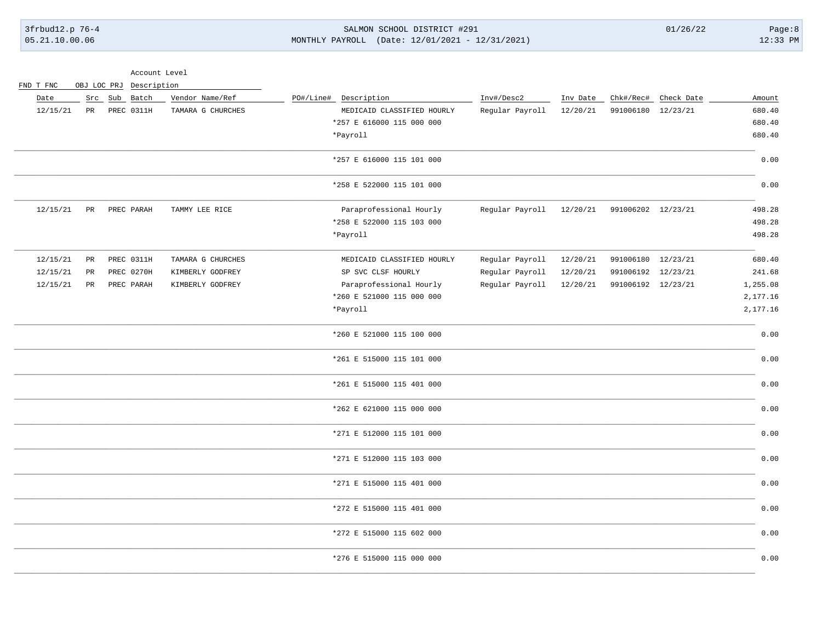3frbud12.p 76-4 05.21.10.00.06

SALMON SCHOOL DISTRICT #291 MONTHLY PAYROLL (Date: 12/01/2021 - 12/31/2021)  $01/26/22$ 

Account Level

| $\mbox{FND}$ T $\mbox{FNC}$ | OBJ LOC PRJ Description |               |            |                   |  |                            |                 |          |                    |            |          |
|-----------------------------|-------------------------|---------------|------------|-------------------|--|----------------------------|-----------------|----------|--------------------|------------|----------|
| Date                        |                         | Src Sub Batch |            | Vendor Name/Ref   |  | PO#/Line# Description      | Inv#/Desc2      | Inv Date | Chk#/Rec#          | Check Date | Amount   |
| 12/15/21                    | <b>PR</b>               |               | PREC 0311H | TAMARA G CHURCHES |  | MEDICAID CLASSIFIED HOURLY | Regular Payroll | 12/20/21 | 991006180 12/23/21 |            | 680.40   |
|                             |                         |               |            |                   |  | *257 E 616000 115 000 000  |                 |          |                    |            | 680.40   |
|                             |                         |               |            |                   |  | *Payroll                   |                 |          |                    |            | 680.40   |
|                             |                         |               |            |                   |  | *257 E 616000 115 101 000  |                 |          |                    |            | 0.00     |
|                             |                         |               |            |                   |  | *258 E 522000 115 101 000  |                 |          |                    |            | 0.00     |
| 12/15/21                    | PR                      |               | PREC PARAH | TAMMY LEE RICE    |  | Paraprofessional Hourly    | Regular Payroll | 12/20/21 | 991006202 12/23/21 |            | 498.28   |
|                             |                         |               |            |                   |  | *258 E 522000 115 103 000  |                 |          |                    |            | 498.28   |
|                             |                         |               |            |                   |  | *Payroll                   |                 |          |                    |            | 498.28   |
| 12/15/21                    | PR                      |               | PREC 0311H | TAMARA G CHURCHES |  | MEDICAID CLASSIFIED HOURLY | Regular Payroll | 12/20/21 | 991006180 12/23/21 |            | 680.40   |
| 12/15/21                    | PR                      |               | PREC 0270H | KIMBERLY GODFREY  |  | SP SVC CLSF HOURLY         | Regular Payroll | 12/20/21 | 991006192 12/23/21 |            | 241.68   |
| 12/15/21                    | PR                      |               | PREC PARAH | KIMBERLY GODFREY  |  | Paraprofessional Hourly    | Regular Payroll | 12/20/21 | 991006192 12/23/21 |            | 1,255.08 |
|                             |                         |               |            |                   |  | *260 E 521000 115 000 000  |                 |          |                    |            | 2,177.16 |
|                             |                         |               |            |                   |  | *Payroll                   |                 |          |                    |            | 2,177.16 |
|                             |                         |               |            |                   |  | *260 E 521000 115 100 000  |                 |          |                    |            | 0.00     |
|                             |                         |               |            |                   |  | *261 E 515000 115 101 000  |                 |          |                    |            | 0.00     |
|                             |                         |               |            |                   |  | *261 E 515000 115 401 000  |                 |          |                    |            | 0.00     |
|                             |                         |               |            |                   |  | *262 E 621000 115 000 000  |                 |          |                    |            | 0.00     |
|                             |                         |               |            |                   |  | *271 E 512000 115 101 000  |                 |          |                    |            | 0.00     |
|                             |                         |               |            |                   |  | *271 E 512000 115 103 000  |                 |          |                    |            | 0.00     |
|                             |                         |               |            |                   |  | *271 E 515000 115 401 000  |                 |          |                    |            | 0.00     |
|                             |                         |               |            |                   |  | *272 E 515000 115 401 000  |                 |          |                    |            | 0.00     |
|                             |                         |               |            |                   |  | *272 E 515000 115 602 000  |                 |          |                    |            | 0.00     |
|                             |                         |               |            |                   |  | *276 E 515000 115 000 000  |                 |          |                    |            | 0.00     |
|                             |                         |               |            |                   |  |                            |                 |          |                    |            |          |